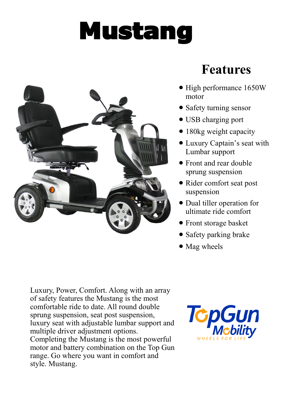## Mustang



## **Features**

- High performance 1650W motor
- Safety turning sensor
- USB charging port
- 180kg weight capacity
- Luxury Captain's seat with Lumbar support
- Front and rear double sprung suspension
- Rider comfort seat post suspension
- Dual tiller operation for ultimate ride comfort
- Front storage basket
- Safety parking brake
- Mag wheels

Luxury, Power, Comfort. Along with an array of safety features the Mustang is the most comfortable ride to date. All round double sprung suspension, seat post suspension, luxury seat with adjustable lumbar support and multiple driver adjustment options. Completing the Mustang is the most powerful motor and battery combination on the Top Gun range. Go where you want in comfort and style. Mustang.